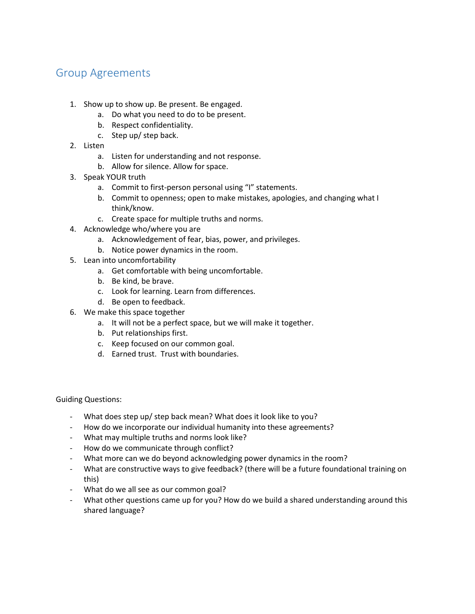## Group Agreements

- 1. Show up to show up. Be present. Be engaged.
	- a. Do what you need to do to be present.
	- b. Respect confidentiality.
	- c. Step up/ step back.
- 2. Listen
	- a. Listen for understanding and not response.
	- b. Allow for silence. Allow for space.
- 3. Speak YOUR truth
	- a. Commit to first-person personal using "I" statements.
	- b. Commit to openness; open to make mistakes, apologies, and changing what I think/know.
	- c. Create space for multiple truths and norms.
- 4. Acknowledge who/where you are
	- a. Acknowledgement of fear, bias, power, and privileges.
	- b. Notice power dynamics in the room.
- 5. Lean into uncomfortability
	- a. Get comfortable with being uncomfortable.
	- b. Be kind, be brave.
	- c. Look for learning. Learn from differences.
	- d. Be open to feedback.
- 6. We make this space together
	- a. It will not be a perfect space, but we will make it together.
	- b. Put relationships first.
	- c. Keep focused on our common goal.
	- d. Earned trust. Trust with boundaries.

Guiding Questions:

- What does step up/ step back mean? What does it look like to you?
- How do we incorporate our individual humanity into these agreements?
- What may multiple truths and norms look like?
- How do we communicate through conflict?
- What more can we do beyond acknowledging power dynamics in the room?
- What are constructive ways to give feedback? (there will be a future foundational training on this)
- What do we all see as our common goal?
- What other questions came up for you? How do we build a shared understanding around this shared language?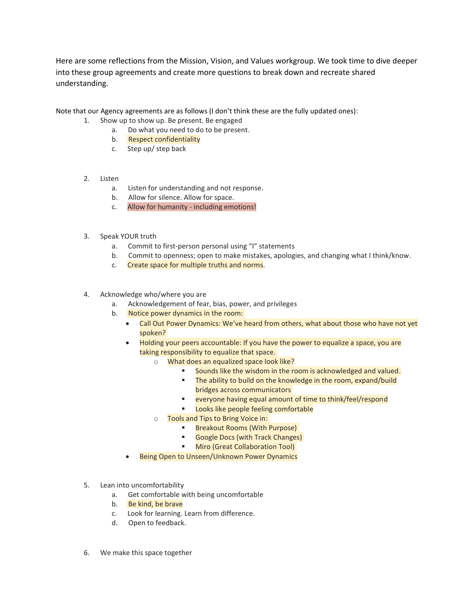Here are some reflections from the Mission, Vision, and Values workgroup. We took time to dive deeper into these group agreements and create more questions to break down and recreate shared understanding.

Note that our Agency agreements are as follows (I don't think these are the fully updated ones):

- 1. Show up to show up. Be present. Be engaged
	- a. Do what you need to do to be present.
	- b. Respect confidentiality
	- c. Step up/ step back
- 2. Listen
	- a. Listen for understanding and not response.
	- b. Allow for silence. Allow for space.
	- c. Allow for humanity including emotions!
- 3. Speak YOUR truth
	- a. Commit to first-person personal using "I" statements
	- b. Commit to openness; open to make mistakes, apologies, and changing what I think/know.
	- c. Create space for multiple truths and norms.
- 4. Acknowledge who/where you are
	- a. Acknowledgement of fear, bias, power, and privileges
	- b. Notice power dynamics in the room:
		- Call Out Power Dynamics: We've heard from others, what about those who have not yet spoken?
		- Holding your peers accountable: If you have the power to equalize a space, you are taking responsibility to equalize that space.
			- o What does an equalized space look like?
				- Sounds like the wisdom in the room is acknowledged and valued.
				- **The ability to build on the knowledge in the room, expand/build** bridges across communicators
				- everyone having equal amount of time to think/feel/respond
				- **Looks like people feeling comfortable**
			- o Tools and Tips to Bring Voice in:
				- Breakout Rooms (With Purpose)
				- Google Docs (with Track Changes)
				- **Miro (Great Collaboration Tool)**
		- Being Open to Unseen/Unknown Power Dynamics
- 5. Lean into uncomfortability
	- a. Get comfortable with being uncomfortable
	- b. Be kind, be brave
	- c. Look for learning. Learn from difference.
	- d. Open to feedback.
- 6. We make this space together